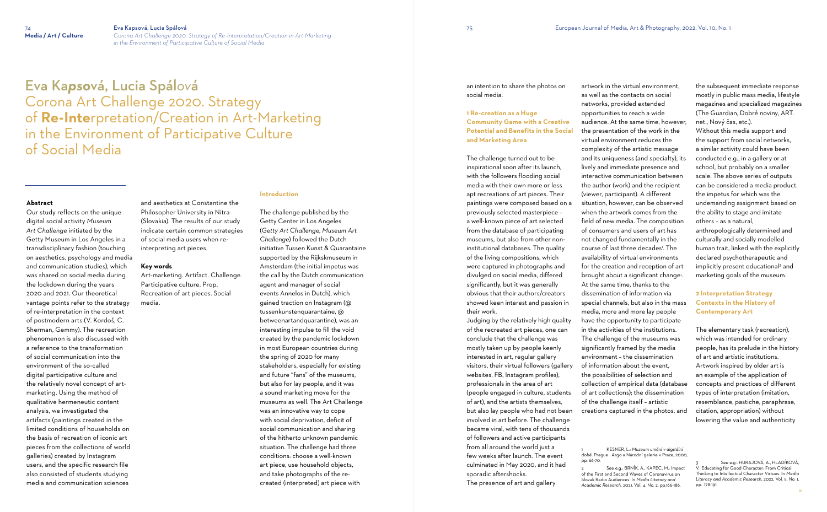# 74 **Eva Kapsová, Lucia Spálová<br>
Media / Art / Culture** Corona Art Challenge 2020.

**Media / Art / Culture** *Corona Art Challenge 2020. Strategy of Re-Interpretation/Creation in Art-Marketing in the Environment of Participative Culture of Social Media*

Eva Ka*pso*vá, Lucia Spál*ov*á Corona Art Challenge 2020. Strategy of **Re-Inte**rpretation/Creation in Art-Marketing in the Environment of Participative Culture of Social Media

### **Abstract**

Our study reflects on the unique digital social activity *Museum Art Challenge* initiated by the Getty Museum in Los Angeles in a transdisciplinary fashion (touching on aesthetics, psychology and media and communication studies), which was shared on social media during the lockdown during the years 2020 and 2021. Our theoretical vantage points refer to the strategy of re-interpretation in the context of postmodern arts (V. Kordoš, C. Sherman, Gemmy). The recreation phenomenon is also discussed with a reference to the transformation of social communication into the environment of the so-called digital participative culture and the relatively novel concept of artmarketing. Using the method of qualitative hermeneutic content analysis, we investigated the artifacts (paintings created in the limited conditions of households on the basis of recreation of iconic art pieces from the collections of world galleries) created by Instagram users, and the specific research file also consisted of students studying media and communication sciences

and aesthetics at Constantine the Philosopher University in Nitra (Slovakia). The results of our study indicate certain common strategies of social media users when reinterpreting art pieces.

### **Key words**

Art-marketing. Artifact. Challenge. Participative culture. Prop. Recreation of art pieces. Social media.

### **Introduction**

The challenge published by the Getty Center in Los Angeles (*Getty Art Challenge, Museum Art Challenge*) followed the Dutch initiative Tussen Kunst & Quarantaine supported by the Rijkskmuseum in Amsterdam (the initial impetus was the call by the Dutch communication agent and manager of social events Annelos in Dutch), which gained traction on Instagram (@ tussenkunstenquarantaine, @ betweenartandquarantine), was an interesting impulse to fill the void created by the pandemic lockdown in most European countries during the spring of 2020 for many stakeholders, especially for existing and future "fans" of the museums, but also for lay people, and it was a sound marketing move for the museums as well. The Art Challenge was an innovative way to cope with social deprivation, deficit of social communication and sharing of the hitherto unknown pandemic situation. The challenge had three conditions: choose a well-known art piece, use household objects, and take photographs of the recreated (interpreted) art piece with

an intention to share the photos on social media.

# **1 Re-creation as a Huge Community Game with a Creative Potential and Benefits in the Social and Marketing Area**

The challenge turned out to be inspirational soon after its launch, with the followers flooding social media with their own more or less apt recreations of art pieces. Their paintings were composed based on a previously selected masterpiece – a well-known piece of art selected from the database of participating museums, but also from other noninstitutional databases. The quality of the living compositions, which were captured in photographs and divulged on social media, differed significantly, but it was generally obvious that their authors/creators showed keen interest and passion in their work.

Judging by the relatively high quality of the recreated art pieces, one can conclude that the challenge was mostly taken up by people keenly interested in art, regular gallery visitors, their virtual followers (gallery websites, FB, Instagram profiles), professionals in the area of art (people engaged in culture, students of art), and the artists themselves, but also lay people who had not been involved in art before. The challenge became viral, with tens of thousands of followers and active participants from all around the world just a few weeks after launch. The event culminated in May 2020, and it had sporadic aftershocks. The presence of art and gallery

artwork in the virtual environment, as well as the contacts on social networks, provided extended opportunities to reach a wide audience. At the same time, however, the presentation of the work in the virtual environment reduces the complexity of the artistic message and its uniqueness (and specialty), its lively and immediate presence and interactive communication between the author (work) and the recipient (viewer, participant). A different situation, however, can be observed when the artwork comes from the field of new media. The composition of consumers and users of art has not changed fundamentally in the course of last three decades'. The availability of virtual environments for the creation and reception of art brought about a significant change<sup>2</sup>. At the same time, thanks to the dissemination of information via special channels, but also in the mass media, more and more lay people have the opportunity to participate in the activities of the institutions. The challenge of the museums was significantly framed by the media environment – the dissemination of information about the event, the possibilities of selection and collection of empirical data (database of art collections); the dissemination of the challenge itself – artistic creations captured in the photos, and

1 KESNER, L.: *Muzeum umění v digitální době*. Prague : Argo a Národní galerie v Praze, 2000,

pp. 66-70. See e.g.: BRNÍK, A., KAPEC, M.: Impact of the First and Second Waves of Coronavirus on Slovak Radio Audiences. In *Media Literacy and Academic Research*, 2021, Vol. 4, No. 2, pp.166-186.

the subsequent immediate response mostly in public mass media, lifestyle magazines and specialized magazines (The Guardian, Dobré noviny, ART. net., Nový čas, etc.).

Without this media support and the support from social networks, a similar activity could have been conducted e.g., in a gallery or at school, but probably on a smaller scale. The above series of outputs can be considered a media product, the impetus for which was the undemanding assignment based on the ability to stage and imitate others – as a natural,

anthropologically determined and culturally and socially modelled human trait, linked with the explicitly declared psychotherapeutic and implicitly present educational <sup>3</sup> and marketing goals of the museum.

# **2 Interpretation Strategy Contexts in the History of Contemporary Art**

The elementary task (recreation), which was intended for ordinary people, has its prelude in the history of art and artistic institutions. Artwork inspired by older art is an example of the application of concepts and practices of different types of interpretation (imitation, resemblance, pastiche, paraphrase, citation, appropriation) without lowering the value and authenticity

<sup>3</sup> See e.g.: HURAJOVÁ, A., HLADÍKOVÁ, V.: Educating for Good Character: From Critical Thinking to Intellectual Character Virtues. In *Media Literacy and Academic Research*, 2022, Vol. 5, No. 1, pp. 178-191.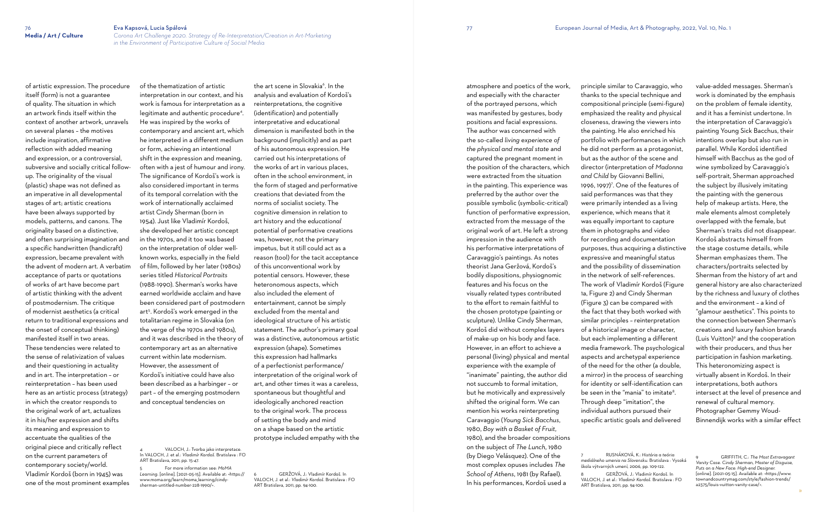of artistic expression. The procedure itself (form) is not a guarantee of quality. The situation in which an artwork finds itself within the context of another artwork, unravels on several planes – the motives include inspiration, affirmative reflection with added meaning and expression, or a controversial, subversive and socially critical followup. The originality of the visual (plastic) shape was not defined as an imperative in all developmental stages of art; artistic creations have been always supported by models, patterns, and canons. The originality based on a distinctive, and often surprising imagination and a specific handwritten (handicraft) expression, became prevalent with the advent of modern art. A verbatim acceptance of parts or quotations of works of art have become part of artistic thinking with the advent of postmodernism. The critique of modernist aesthetics (a critical return to traditional expressions and the onset of conceptual thinking) manifested itself in two areas. These tendencies were related to the sense of relativization of values and their questioning in actuality and in art. The interpretation – or reinterpretation – has been used here as an artistic process (strategy) in which the creator responds to the original work of art, actualizes it in his/her expression and shifts its meaning and expression to accentuate the qualities of the original piece and critically reflect on the current parameters of contemporary society/world. Vladimír Kordoš (born in 1945) was one of the most prominent examples

VALOCH, J.: Tvorba jako interpretace. In VALOCH, J. et al.: *Vladimír Kordoš.* Bratislava : FO ART Bratislava, 2011, pp. 15-47.

the art scene in Slovakia<sup>6</sup>. In the analysis and evaluation of Kordoš's reinterpretations, the cognitive (identification) and potentially interpretative and educational dimension is manifested both in the background (implicitly) and as part of his autonomous expression. He

of the thematization of artistic interpretation in our context, and his work is famous for interpretation as a legitimate and authentic procedure<sup>4</sup> . He was inspired by the works of contemporary and ancient art, which he interpreted in a different medium or form, achieving an intentional shift in the expression and meaning, often with a jest of humour and irony. The significance of Kordoš's work is also considered important in terms of its temporal correlation with the work of internationally acclaimed artist Cindy Sherman (born in 1954). Just like Vladimír Kordoš, she developed her artistic concept in the 1970s, and it too was based on the interpretation of older wellknown works, especially in the field of film, followed by her later (1980s) series titled *Historical Portraits* (1988-1990). Sherman's works have earned worldwide acclaim and have been considered part of postmodern art<sup>5</sup> . Kordoš's work emerged in the totalitarian regime in Slovakia (on the verge of the 1970s and 1980s), and it was described in the theory of contemporary art as an alternative current within late modernism. However, the assessment of Kordoš's initiative could have also been described as a harbinger – or part – of the emerging postmodern and conceptual tendencies on

5 For more information see: *MoMA Learning*. [online]. [2021-05-15]. Available at: <https:// www.moma.org/learn/moma\_learning/cindysherman-untitled-number-228-1990/>.

carried out his interpretations of the works of art in various places, often in the school environment, in the form of staged and performative creations that deviated from the norms of socialist society. The *cognitive* dimension in relation to art history and the *educational* potential of performative creations was, however, not the primary impetus, but it still could act as a reason (tool) for the tacit acceptance of this unconventional work by potential censors. However, these heteronomous aspects, which also included the element of entertainment, cannot be simply excluded from the mental and ideological structure of his artistic statement. The author's primary goal was a distinctive, autonomous artistic expression (shape). Sometimes this expression had hallmarks of a perfectionist performance/ interpretation of the original work of art, and other times it was a careless, spontaneous but thoughtful and ideologically anchored reaction to the original work. The process of setting the body and mind on a shape based on the artistic prototype included empathy with the

6 GERŽOVÁ, J.: Vladimír Kordoš. In VALOCH, J. et al.: *Vladimír Kordoš*. Bratislava : FO ART Bratislava, 2011, pp. 94-100.

atmosphere and poetics of the work, and especially with the character of the portrayed persons, which was manifested by gestures, body positions and facial expressions. The author was concerned with the so-called *living experience of the physical and mental state* and captured the pregnant moment in the position of the characters, which were extracted from the situation in the painting. This experience was preferred by the author over the possible symbolic (symbolic-critical) function of performative expression, extracted from the message of the original work of art. He left a strong impression in the audience with his performative interpretations of Caravaggio's paintings. As notes theorist Jana Geržová, Kordoš's bodily dispositions, physiognomic features and his focus on the visually related types contributed to the effort to remain faithful to the chosen prototype (painting or sculpture). Unlike Cindy Sherman, Kordoš did without complex layers of make-up on his body and face. However, in an effort to achieve a personal (living) physical and mental experience with the example of "inanimate" painting, the author did not succumb to formal imitation, but he motivically and expressively shifted the original form. We can mention his works reinterpreting Caravaggio (*Young Sick Bacchus*, 1980, *Boy with a Basket of Fruit*, 1980), and the broader compositions on the subject of *The Lunch*, 1980 (by Diego Velásquez). One of the most complex opuses includes *The School of Athens*, 1981 (by Rafael).

In his performances, Kordoš used a

principle similar to Caravaggio, who thanks to the special technique and compositional principle (semi-figure) emphasized the reality and physical closeness, drawing the viewers into the painting. He also enriched his portfolio with performances in which he did not perform as a protagonist, but as the author of the scene and director (interpretation of *Madonna and Child* by Giovanni Bellini, 1996, 1997)<sup>7</sup>. One of the features of said performances was that they were primarily intended as a living experience, which means that it was equally important to capture them in photographs and video for recording and documentation purposes, thus acquiring a distinctive expressive and meaningful status and the possibility of dissemination in the network of self-references. The work of Vladimír Kordoš (Figure 1a, Figure 2) and Cindy Sherman (Figure 3) can be compared with the fact that they both worked with similar principles – reinterpretation of a historical image or character, but each implementing a different media framework. The psychological aspects and archetypal experience of the need for the other (a double, a mirror) in the process of searching for identity or self-identification can be seen in the "mania" to imitate<sup>8</sup>. Through deep "imitation", the individual authors pursued their specific artistic goals and delivered

škola výtvarných umení, 2006, pp. 109-122. ART Bratislava, 2011, pp. 94-100.

value-added messages. Sherman's work is dominated by the emphasis on the problem of female identity, and it has a feminist undertone. In the interpretation of Caravaggio's painting Young Sick Bacchus, their intentions overlap but also run in parallel. While Kordoš identified himself with Bacchus as the god of wine symbolized by Caravaggio's self-portrait, Sherman approached the subject by illusively imitating the painting with the generous help of makeup artists. Here, the male elements almost completely overlapped with the female, but Sherman's traits did not disappear. Kordoš abstracts himself from the stage costume details, while Sherman emphasizes them. The characters/portraits selected by Sherman from the history of art and general history are also characterized by the richness and luxury of clothes and the environment – a kind of "glamour aesthetics". This points to the connection between Sherman's creations and luxury fashion brands (Luis Vuitton) 9 and the cooperation with their producers, and thus her participation in fashion marketing. This heteronomizing aspect is virtually absent in Kordoš. In their interpretations, both authors intersect at the level of presence and renewal of cultural memory. Photographer Gemmy Woud-Binnendijk works with a similar effect

<sup>7</sup> RUSNÁKOVÁ, K.: *História a teória mediálneho umenia na Slovensku*. Bratislava : Vysoká

<sup>8</sup> GERŽOVÁ, J.: Vladimír Kordoš. In VALOCH, J. et al.: *Vladimír Kordoš*. Bratislava : FO

<sup>9</sup> GRIFFITH, C.: *The Most Extravagant Vanity Case. Cindy Sherman, Master of Disguise, Puts on a New Face: High-end Designer.* [online]. [2021-05-15]. Available at: <https://www. townandcountrymag.com/style/fashion-trends/ a2375/louis-vuitton-vanity-case/>.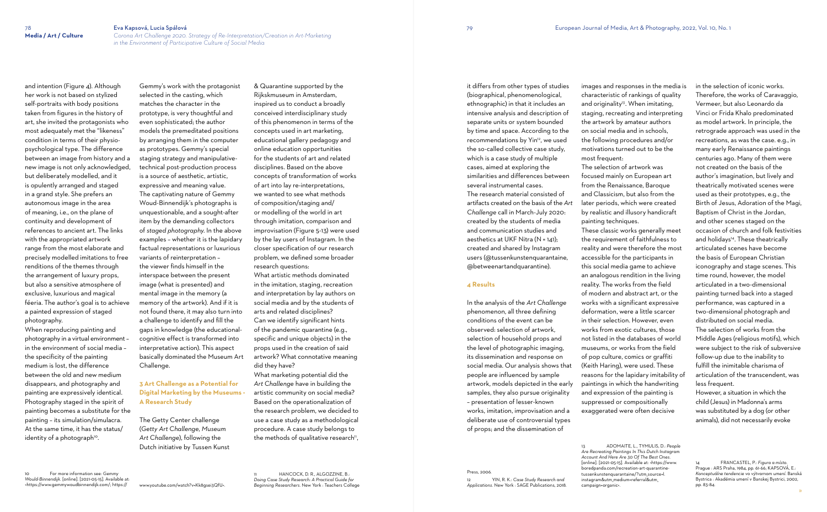When reproducing painting and photography in a virtual environment – in the environment of social media – the specificity of the painting medium is lost, the difference between the old and new medium disappears, and photography and painting are expressively identical. Photography staged in the spirit of painting becomes a substitute for the painting – its simulation/simulacra. At the same time, it has the status/ identity of a photograph<sup>10</sup>.

and intention (Figure 4). Although her work is not based on stylized self-portraits with body positions taken from figures in the history of art, she invited the protagonists who most adequately met the "likeness" condition in terms of their physiopsychological type. The difference between an image from history and a new image is not only acknowledged, but deliberately modelled, and it is opulently arranged and staged in a grand style. She prefers an autonomous image in the area of meaning, i.e., on the plane of continuity and development of references to ancient art. The links with the appropriated artwork range from the most elaborate and precisely modelled imitations to free renditions of the themes through the arrangement of luxury props, but also a sensitive atmosphere of exclusive, luxurious and magical féeria. The author's goal is to achieve a painted expression of staged photography.

10 For more information see: *Gemmy Would-Binnendijk*. [online]. [2021-05-15]. Available at: <https://www.gemmywoudbinnendijk.com/; https://

What marketing potential did the *Art Challenge* have in building the artistic community on social media? Based on the operationalization of the research problem, we decided to use a case study as a methodological procedure. A case study belongs to the methods of qualitative research<sup>11</sup>,

HANCOCK, D. R., ALGOZZINE, B.: *Doing Case Study Research: A Practical Guide for Beginning Researchers*. New York : Teachers College

Gemmy's work with the protagonist selected in the casting, which matches the character in the prototype, is very thoughtful and even sophisticated; the author models the premeditated positions by arranging them in the computer as prototypes. Gemmy's special staging strategy and manipulativetechnical post-production process is a source of aesthetic, artistic, expressive and meaning value. The captivating nature of Gemmy Woud-Binnendijk's photographs is unquestionable, and a sought-after item by the demanding collectors of *staged photography*. In the above examples – whether it is the lapidary factual representations or luxurious variants of reinterpretation – the viewer finds himself in the interspace between the present image (what is presented) and mental image in the memory (a memory of the artwork). And if it is not found there, it may also turn into a challenge to identify and fill the gaps in knowledge (the educationalcognitive effect is transformed into interpretative action). This aspect basically dominated the Museum Art Challenge.

# **3 Art Challenge as a Potential for Digital Marketing by the Museums - A Research Study**

The Getty Center challenge (*Getty Art Challenge, Museum Art Challenge*), following the Dutch initiative by Tussen Kunst

www.youtube.com/watch?v=Kk8gsei3QfU>.

& Quarantine supported by the Rijkskmuseum in Amsterdam, inspired us to conduct a broadly conceived interdisciplinary study of this phenomenon in terms of the concepts used in art marketing, educational gallery pedagogy and online education opportunities for the students of art and related disciplines. Based on the above concepts of transformation of works of art into lay re-interpretations, we wanted to see what methods of composition/staging and/ or modelling of the world in art through imitation, comparison and improvisation (Figure 5-13) were used by the lay users of Instagram. In the closer specification of our research problem, we defined some broader research questions: What artistic methods dominated in the imitation, staging, recreation and interpretation by lay authors on social media and by the students of arts and related disciplines? Can we identify significant hints of the pandemic quarantine (e.g., specific and unique objects) in the props used in the creation of said artwork? What connotative meaning did they have?

it differs from other types of studies (biographical, phenomenological, ethnographic) in that it includes an intensive analysis and description of separate units or system bounded by time and space. According to the recommendations by Yin<sup>12</sup>, we used the so-called collective case study, which is a case study of multiple cases, aimed at exploring the similarities and differences between several instrumental cases. The research material consisted of artifacts created on the basis of the *Art* 

*Challenge* call in March-July 2020: created by the students of media and communication studies and aesthetics at UKF Nitra (N = 141); created and shared by Instagram users (@tussenkunstenquarantaine, @betweenartandquarantine).

### **4 Results**

Press, 2006

In the analysis of the *Art Challenge* phenomenon, all three defining conditions of the event can be observed: selection of artwork, selection of household props and the level of photographic imaging, its dissemination and response on social media. Our analysis shows that people are influenced by sample artwork, models depicted in the early samples, they also pursue originality – presentation of lesser-known works, imitation, improvisation and a deliberate use of controversial types of props; and the dissemination of

12 YIN, R. K.: *Case Study Research and Applications*. New York : SAGE Publications, 2018.

images and responses in the media is characteristic of rankings of quality and originality<sup>13</sup>. When imitating, staging, recreating and interpreting the artwork by amateur authors on social media and in schools, the following procedures and/or motivations turned out to be the most frequent: The selection of artwork was focused mainly on European art from the Renaissance, Baroque and Classicism, but also from the later periods, which were created by realistic and illusory handicraft painting techniques. These classic works generally meet the requirement of faithfulness to reality and were therefore the most accessible for the participants in this social media game to achieve an analogous rendition in the living reality. The works from the field of modern and abstract art, or the works with a significant expressive deformation, were a little scarcer in their selection. However, even works from exotic cultures, those not listed in the databases of world museums, or works from the field of pop culture, comics or graffiti (Keith Haring), were used. These reasons for the lapidary imitability of paintings in which the handwriting and expression of the painting is suppressed or compositionally exaggerated were often decisive

13 ADOMAITE, L., TYMULIS, D.: *People Are Recreating Paintings In This Dutch Instagram Account And Here Are 30 Of The Best Ones*. [online]. [2021-05-15]. Available at: <https://www. boredpanda.com/recreation-art-quarantinetussenkunstenquarantaine/?utm\_source=l. instagram&utm\_medium=referral&utm\_ campaign=organic>.

in the selection of iconic works. Therefore, the works of Caravaggio, Vermeer, but also Leonardo da Vinci or Frida Khalo predominated as model artwork. In principle, the retrograde approach was used in the recreations, as was the case. e.g., in many early Renaissance paintings centuries ago. Many of them were not created on the basis of the author's imagination, but lively and theatrically motivated scenes were used as their prototypes, e.g., the Birth of Jesus, Adoration of the Magi, Baptism of Christ in the Jordan, and other scenes staged on the occasion of church and folk festivities and holidays 14 . These theatrically articulated scenes have become the basis of European Christian iconography and stage scenes. This time round, however, the model articulated in a two-dimensional painting turned back into a staged performance, was captured in a two-dimensional photograph and distributed on social media. The selection of works from the Middle Ages (religious motifs), which were subject to the risk of subversive follow-up due to the inability to fulfill the inimitable charisma of articulation of the transcendent, was less frequent.

However, a situation in which the child (Jesus) in Madonna's arms was substituted by a dog (or other animals), did not necessarily evoke

14 FRANCASTEL, P.: *Figura a místo*. Prague : ARS Praha, 1984, pp. 61-66; KAPSOVÁ, E.: *Konceptuálne tendencie vo výtvarnom umení*. Banská Bystrica : Akadémia umení v Banskej Bystrici, 2002, pp. 83-84.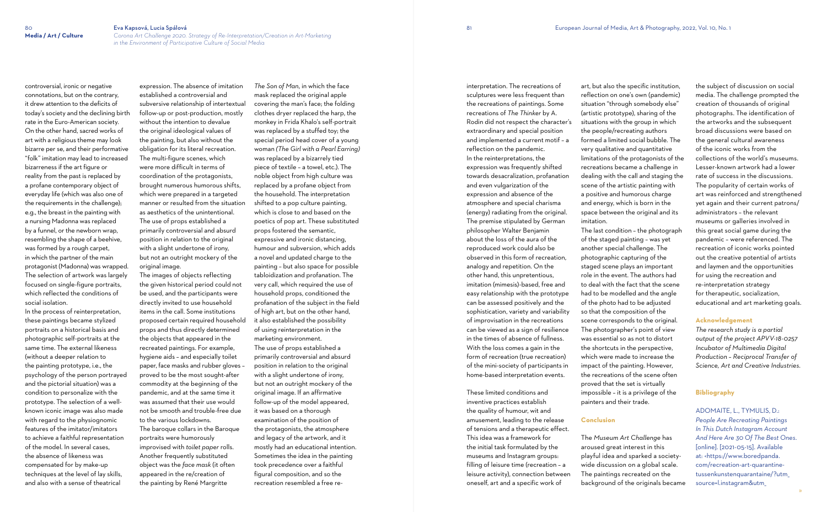controversial, ironic or negative

connotations, but on the contrary, it drew attention to the deficits of today's society and the declining birth rate in the Euro-American society. On the other hand, sacred works of art with a religious theme may look bizarre per se, and their performative "folk" imitation may lead to increased bizarreness if the art figure or reality from the past is replaced by a profane contemporary object of everyday life (which was also one of the requirements in the challenge); e.g., the breast in the painting with a nursing Madonna was replaced by a funnel, or the newborn wrap, resembling the shape of a beehive, was formed by a rough carpet, in which the partner of the main protagonist (Madonna) was wrapped. The selection of artwork was largely focused on single-figure portraits, which reflected the conditions of social isolation.

expression. The absence of imitation established a controversial and subversive relationship of intertextual follow-up or post-production, mostly without the intention to devalue the original ideological values of the painting, but also without the obligation for its literal recreation. The multi-figure scenes, which were more difficult in terms of coordination of the protagonists, brought numerous humorous shifts, which were prepared in a targeted manner or resulted from the situation as aesthetics of the unintentional. The use of props established a primarily controversial and absurd position in relation to the original with a slight undertone of irony, but not an outright mockery of the original image.

In the process of reinterpretation, these paintings became stylized portraits on a historical basis and photographic self-portraits at the same time. The external likeness (without a deeper relation to the painting prototype, i.e., the psychology of the person portrayed and the pictorial situation) was a condition to personalize with the prototype. The selection of a wellknown iconic image was also made with regard to the physiognomic features of the imitator/imitators to achieve a faithful representation of the model. In several cases, the absence of likeness was compensated for by make-up techniques at the level of lay skills, and also with a sense of theatrical

The images of objects reflecting the given historical period could not be used, and the participants were directly invited to use household items in the call. Some institutions proposed certain required household props and thus directly determined the objects that appeared in the recreated paintings. For example, hygiene aids – and especially toilet paper, face masks and rubber gloves – proved to be the most sought-after commodity at the beginning of the pandemic, and at the same time it was assumed that their use would not be smooth and trouble-free due to the various lockdowns. The baroque collars in the Baroque

portraits were humorously improvised with *toilet paper* rolls. Another frequently substituted object was the *face mask* (it often appeared in the re/creation of the painting by René Margritte

*The Son of Man*, in which the face mask replaced the original apple covering the man's face; the folding clothes dryer replaced the harp, the monkey in Frida Khalo's self-portrait was replaced by a stuffed toy; the special period head cover of a young woman *(The Girl with a Pearl Earring)*  was replaced by a bizarrely tied piece of textile – a towel, etc.). The noble object from high culture was replaced by a profane object from the household. The interpretation shifted to a pop culture painting, which is close to and based on the poetics of pop art. These substituted props fostered the semantic, expressive and ironic distancing, humour and subversion, which adds a novel and updated charge to the painting – but also space for possible tabloidization and profanation. The very call, which required the use of household props, conditioned the profanation of the subject in the field of high art, but on the other hand, it also established the possibility of using reinterpretation in the marketing environment. The use of props established a primarily controversial and absurd position in relation to the original with a slight undertone of irony, but not an outright mockery of the original image. If an affirmative follow-up of the model appeared, it was based on a thorough examination of the position of the protagonists, the atmosphere and legacy of the artwork, and it mostly had an educational intention. Sometimes the idea in the painting took precedence over a faithful figural composition, and so the recreation resembled a free reinterpretation. The recreations of sculptures were less frequent than the recreations of paintings. Some recreations of *The Thinker* by A. Rodin did not respect the character's extraordinary and special position and implemented a current motif – a reflection on the pandemic. In the reinterpretations, the expression was frequently shifted towards desacralization, profanation and even vulgarization of the expression and absence of the atmosphere and special charisma (energy) radiating from the original. The premise stipulated by German philosopher Walter Benjamin about the loss of the aura of the reproduced work could also be observed in this form of recreation, analogy and repetition. On the other hand, this unpretentious, imitation (mimesis)-based, free and easy relationship with the prototype can be assessed positively and the sophistication, variety and variability of improvisation in the recreations can be viewed as a sign of resilience in the times of absence of fullness. With the loss comes a gain in the form of recreation (true recreation) of the mini-society of participants in home-based interpretation events.

These limited conditions and inventive practices establish the quality of humour, wit and amusement, leading to the release of tensions and a therapeutic effect. This idea was a framework for the initial task formulated by the museums and Instagram groups: filling of leisure time (recreation – a leisure activity), connection between oneself, art and a specific work of

art, but also the specific institution, reflection on one's own (pandemic) situation "through somebody else" (artistic prototype), sharing of the situations with the group in which the people/recreating authors formed a limited social bubble. The very qualitative and quantitative limitations of the protagonists of the recreations became a challenge in dealing with the call and staging the scene of the artistic painting with a positive and humorous charge and energy, which is born in the space between the original and its imitation.

The last condition – the photograph of the staged painting – was yet another special challenge. The photographic capturing of the staged scene plays an important role in the event. The authors had to deal with the fact that the scene had to be modelled and the angle of the photo had to be adjusted so that the composition of the scene corresponds to the original. The photographer's point of view was essential so as not to distort the shortcuts in the perspective, which were made to increase the impact of the painting. However, the recreations of the scene often proved that the set is virtually impossible – it is a privilege of the painters and their trade.

# **Conclusion**

The *Museum Art Challenge* has aroused great interest in this playful idea and sparked a societywide discussion on a global scale. The paintings recreated on the background of the originals became the subject of discussion on social media. The challenge prompted the creation of thousands of original photographs. The identification of the artworks and the subsequent broad discussions were based on the general cultural awareness of the iconic works from the collections of the world's museums. Lesser-known artwork had a lower rate of success in the discussions. The popularity of certain works of art was reinforced and strengthened yet again and their current patrons/ administrators – the relevant museums or galleries involved in this great social game during the pandemic – were referenced. The recreation of iconic works pointed out the creative potential of artists and laymen and the opportunities for using the recreation and re-interpretation strategy for therapeutic, socialization, educational and art marketing goals.

## **Acknowledgement**

*The research study is a partial output of the project APVV-18-0257 Incubator of Multimedia Digital Production – Reciprocal Transfer of Science, Art and Creative Industries.*

# **Bibliography**

ADOMAITE, L., TYMULIS, D.: *People Are Recreating Paintings In This Dutch Instagram Account And Here Are 30 Of The Best Ones*. [online]. [2021-05-15]. Available at: <https://www.boredpanda. com/recreation-art-quarantinetussenkunstenquarantaine/?utm\_ source=l.instagram&utm\_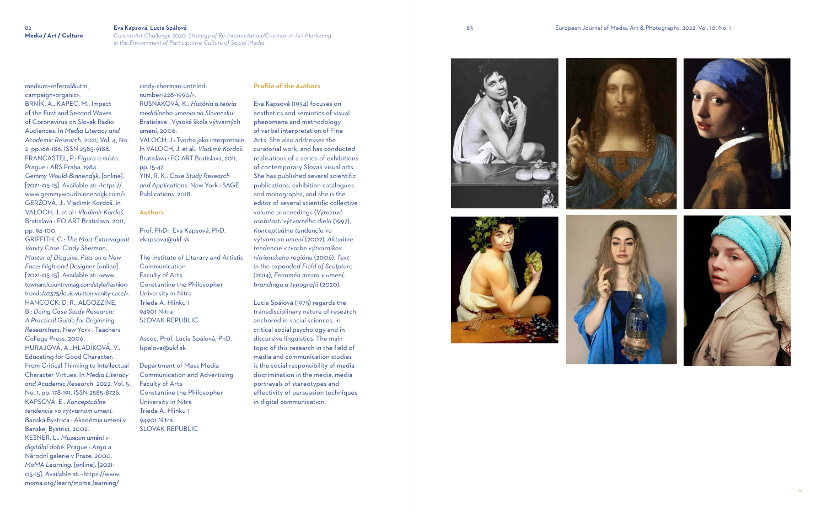### 83 European Journal of Media, Art & Photography, 2022, Vol. 10, No. 1

medium=referral&utm\_ campaign=organic>. BRNÍK, A., KAPEC, M.: Impact of the First and Second Waves of Coronavirus on Slovak Radio Audiences. In *Media Literacy and Academic Research*, 2021, Vol. 4, No. 2, pp.166-186. ISSN 2585-9188. FRANCASTEL, P.: *Figura a místo*. Prague : ARS Praha, 1984. *Gemmy Would-Binnendijk*. [online]. [2021-05-15]. Available at: <https:// www.gemmywoudbinnendijk.com/>. GERŽOVÁ, J.: Vladimír Kordoš. In VALOCH, J. et al.: *Vladimír Kordoš.* Bratislava : FO ART Bratislava, 2011, pp. 94-100.

GRIFFITH, C.: *The Most Extravagant Vanity Case. Cindy Sherman, Master of Disguise, Puts on a New Face: High-end Designer*. [online]. [2021-05-15]. Available at: <www. townandcountrymag.com/style/fashiontrends/a2375/louis-vuitton-vanity-case/>. HANCOCK, D. R., ALGOZZINE, B.: *Doing Case Study Research: A Practical Guide for Beginning Researchers*. New York : Teachers College Press, 2006. HURAJOVÁ, A., HLADÍKOVÁ, V.: Educating for Good Character: From Critical Thinking to Intellectual Character Virtues. In *Media Literacy and Academic Research*, 2022, Vol. 5, No. 1, pp. 178-191. ISSN 2585-8726. KAPSOVÁ, E.: *Konceptuálne tendencie vo výtvarnom umení*. Banská Bystrica : Akadémia umení v Banskej Bystrici, 2002. KESNER, L.: *Muzeum umění v digitální době*. Prague : Argo a Národní galerie v Praze, 2000. *MoMA Learning*. [online]. [2021- 05-15]. Available at: <https://www. moma.org/learn/moma\_learning/

cindy-sherman-untitlednumber-228-1990/>. RUSNÁKOVÁ, K.: *História a teória mediálneho umenia na Slovensku*. Bratislava : Vysoká škola výtvarných umení, 2006. VALOCH, J.: Tvorba jako interpretace. In VALOCH, J. et al.: *Vladimír Kordoš.* Bratislava : FO ART Bratislava, 2011, pp. 15-47. YIN, R. K.: *Case Study Research and Applications*. New York : SAGE Publications, 2018.

## **Authors**

Prof. PhDr. Eva Kapsová, PhD. ekapsova@ukf.sk

The Institute of Literary and Artistic Communication Faculty of Arts Constantine the Philosopher University in Nitra Trieda A. Hlinku 1 94901 Nitra SLOVAK REPUBLIC

Assoc. Prof. Lucia Spálová, PhD. lspalova@ukf.sk

Department of Mass Media Communication and Advertising Faculty of Arts Constantine the Philosopher University in Nitra Trieda A. Hlinku 1 94901 Nitra SLOVAK REPUBLIC

## **Profile of the Authors**

Eva Kapsová (1954) focuses on aesthetics and semiotics of visual phenomena and methodology of verbal interpretation of Fine Arts. She also addresses the curatorial work, and has conducted realisations of a series of exhibitions of contemporary Slovak visual arts. She has published several scientific publications, exhibition catalogues and monographs, and she is the editor of several scientific collective volume proceedings (*Výrazové osobitosti výtvarného diela* (1997), *Konceptuálne tendencie vo výtvarnom umení* (2002), *Aktuálne tendencie v tvorbe výtvarníkov nitrianskeho regiónu* (2006). *Text in the expanded Field of Sculpture* (2014), *Fenomén mesta v umení, brandingu a typografii* (2020).

Lucia Spálová (1975) regards the transdisciplinary nature of research anchored in social sciences, in critical social psychology and in discursive linguistics. The main topic of this research in the field of media and communication studies is the social responsibility of media discrimination in the media, media portrayals of stereotypes and effectivity of persuasion techniques in digital communication.